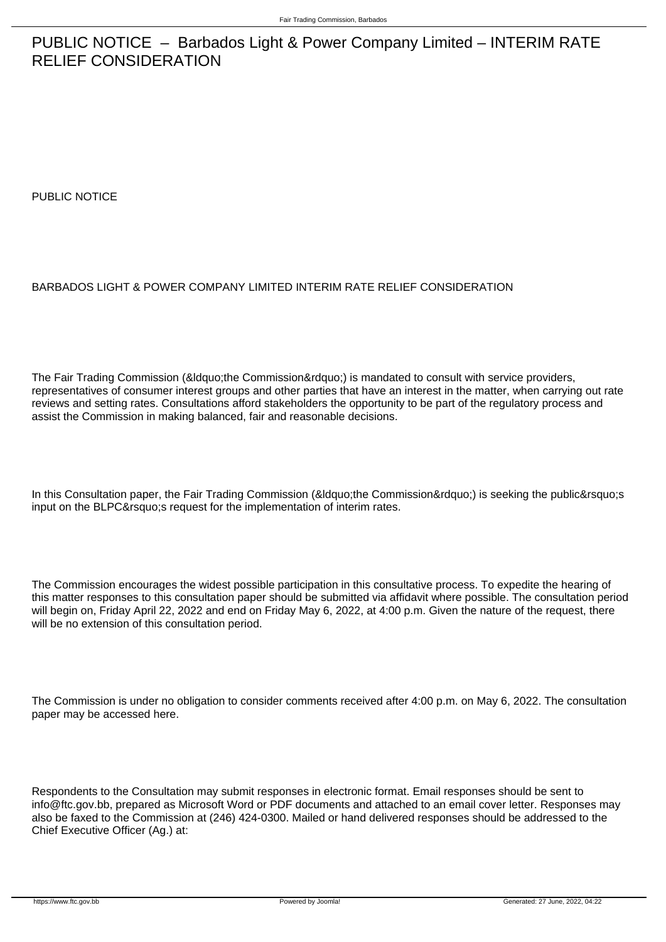## PUBLIC NOTICE – Barbados Light & Power Company Limited – INTERIM RATE RELIEF CONSIDERATION

PUBLIC NOTICE

## BARBADOS LIGHT & POWER COMPANY LIMITED INTERIM RATE RELIEF CONSIDERATION

The Fair Trading Commission (&Idquo;the Commission") is mandated to consult with service providers, representatives of consumer interest groups and other parties that have an interest in the matter, when carrying out rate reviews and setting rates. Consultations afford stakeholders the opportunity to be part of the regulatory process and assist the Commission in making balanced, fair and reasonable decisions.

In this Consultation paper, the Fair Trading Commission (&Idquo;the Commission") is seeking the public's input on the BLPC's request for the implementation of interim rates.

The Commission encourages the widest possible participation in this consultative process. To expedite the hearing of this matter responses to this consultation paper should be submitted via affidavit where possible. The consultation period will begin on, Friday April 22, 2022 and end on Friday May 6, 2022, at 4:00 p.m. Given the nature of the request, there will be no extension of this consultation period.

The Commission is under no obligation to consider comments received after 4:00 p.m. on May 6, 2022. The consultation paper may be accessed here.

Respondents to the Consultation may submit responses in electronic format. Email responses should be sent to info@ftc.gov.bb, prepared as Microsoft Word or PDF documents and attached to an email cover letter. Responses may also be faxed to the Commission at (246) 424-0300. Mailed or hand delivered responses should be addressed to the Chief Executive Officer (Ag.) at: